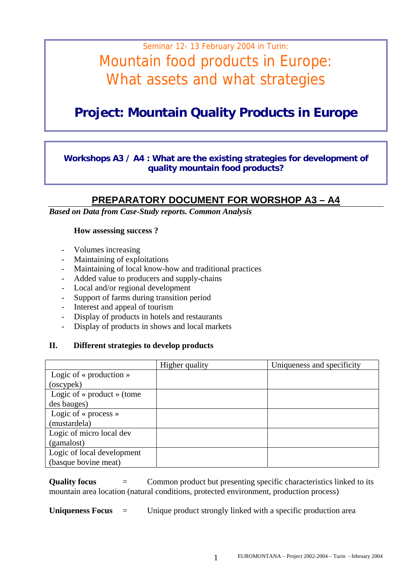# Seminar 12- 13 February 2004 in Turin: Mountain food products in Europe: What assets and what strategies

## **Project: Mountain Quality Products in Europe**

### **Workshops A3 / A4 : What are the existing strategies for development of quality mountain food products?**

### **PREPARATORY DOCUMENT FOR WORSHOP A3 – A4**

*Based on Data from Case-Study reports. Common Analysis* 

#### **How assessing success ?**

- Volumes increasing
- Maintaining of exploitations
- Maintaining of local know-how and traditional practices
- Added value to producers and supply-chains
- Local and/or regional development
- Support of farms during transition period
- Interest and appeal of tourism
- Display of products in hotels and restaurants
- Display of products in shows and local markets

### **II. Different strategies to develop products**

|                            | Higher quality | Uniqueness and specificity |
|----------------------------|----------------|----------------------------|
| Logic of « production »    |                |                            |
| (oscypek)                  |                |                            |
| Logic of « product » (tome |                |                            |
| des bauges)                |                |                            |
| Logic of « process »       |                |                            |
| (mustardela)               |                |                            |
| Logic of micro local dev   |                |                            |
| (gamalost)                 |                |                            |
| Logic of local development |                |                            |
| (basque bovine meat)       |                |                            |

**Quality focus**  $=$  Common product but presenting specific characteristics linked to its mountain area location (natural conditions, protected environment, production process)

**Uniqueness Focus** = Unique product strongly linked with a specific production area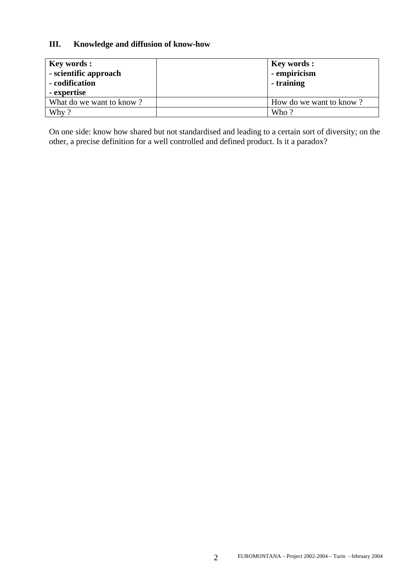### **III. Knowledge and diffusion of know-how**

| <b>Key words:</b><br>- scientific approach<br>- codification<br>- expertise | <b>Key words:</b><br>- empiricism<br>- training |
|-----------------------------------------------------------------------------|-------------------------------------------------|
| What do we want to know?                                                    | How do we want to know?                         |
| Why?                                                                        | Who?                                            |

On one side: know how shared but not standardised and leading to a certain sort of diversity; on the other, a precise definition for a well controlled and defined product. Is it a paradox?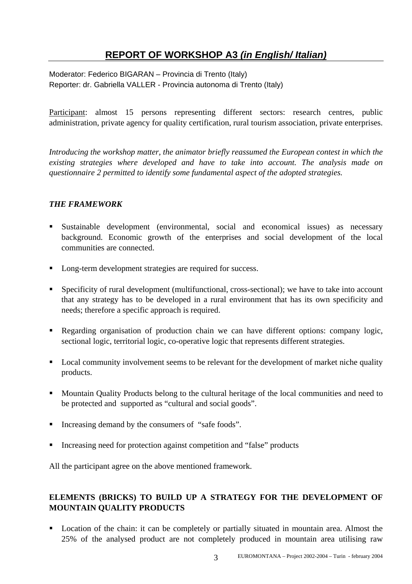### **REPORT OF WORKSHOP A3** *(in English/ Italian)*

Moderator: Federico BIGARAN – Provincia di Trento (Italy) Reporter: dr. Gabriella VALLER - Provincia autonoma di Trento (Italy)

Participant: almost 15 persons representing different sectors: research centres, public administration, private agency for quality certification, rural tourism association, private enterprises.

*Introducing the workshop matter, the animator briefly reassumed the European contest in which the existing strategies where developed and have to take into account. The analysis made on questionnaire 2 permitted to identify some fundamental aspect of the adopted strategies.* 

### *THE FRAMEWORK*

- Sustainable development (environmental, social and economical issues) as necessary background. Economic growth of the enterprises and social development of the local communities are connected.
- **Long-term development strategies are required for success.**
- Specificity of rural development (multifunctional, cross-sectional); we have to take into account that any strategy has to be developed in a rural environment that has its own specificity and needs; therefore a specific approach is required.
- Regarding organisation of production chain we can have different options: company logic, sectional logic, territorial logic, co-operative logic that represents different strategies.
- **Local community involvement seems to be relevant for the development of market niche quality** products.
- **Mountain Quality Products belong to the cultural heritage of the local communities and need to** be protected and supported as "cultural and social goods".
- Increasing demand by the consumers of "safe foods".
- Increasing need for protection against competition and "false" products

All the participant agree on the above mentioned framework.

### **ELEMENTS (BRICKS) TO BUILD UP A STRATEGY FOR THE DEVELOPMENT OF MOUNTAIN QUALITY PRODUCTS**

**Location of the chain: it can be completely or partially situated in mountain area. Almost the** 25% of the analysed product are not completely produced in mountain area utilising raw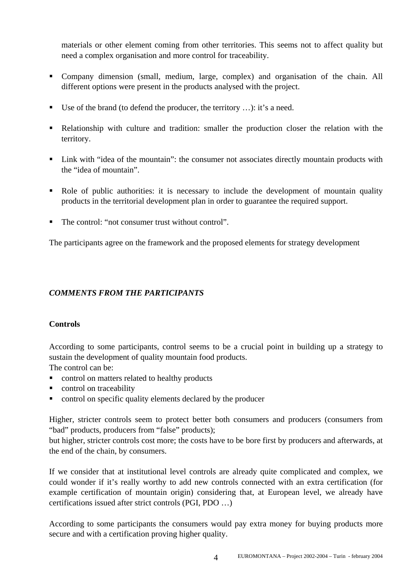materials or other element coming from other territories. This seems not to affect quality but need a complex organisation and more control for traceability.

- Company dimension (small, medium, large, complex) and organisation of the chain. All different options were present in the products analysed with the project.
- Use of the brand (to defend the producer, the territory ...): it's a need.
- Relationship with culture and tradition: smaller the production closer the relation with the territory.
- Link with "idea of the mountain": the consumer not associates directly mountain products with the "idea of mountain".
- Role of public authorities: it is necessary to include the development of mountain quality products in the territorial development plan in order to guarantee the required support.
- The control: "not consumer trust without control".

The participants agree on the framework and the proposed elements for strategy development

### *COMMENTS FROM THE PARTICIPANTS*

### **Controls**

According to some participants, control seems to be a crucial point in building up a strategy to sustain the development of quality mountain food products.

The control can be:

- control on matters related to healthy products
- control on traceability
- control on specific quality elements declared by the producer

Higher, stricter controls seem to protect better both consumers and producers (consumers from "bad" products, producers from "false" products);

but higher, stricter controls cost more; the costs have to be bore first by producers and afterwards, at the end of the chain, by consumers.

If we consider that at institutional level controls are already quite complicated and complex, we could wonder if it's really worthy to add new controls connected with an extra certification (for example certification of mountain origin) considering that, at European level, we already have certifications issued after strict controls (PGI, PDO …)

According to some participants the consumers would pay extra money for buying products more secure and with a certification proving higher quality.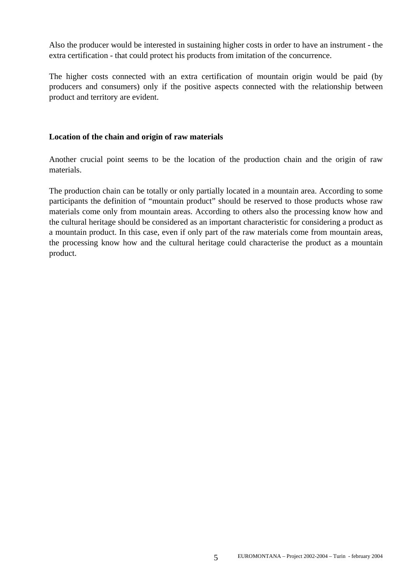Also the producer would be interested in sustaining higher costs in order to have an instrument - the extra certification - that could protect his products from imitation of the concurrence.

The higher costs connected with an extra certification of mountain origin would be paid (by producers and consumers) only if the positive aspects connected with the relationship between product and territory are evident.

#### **Location of the chain and origin of raw materials**

Another crucial point seems to be the location of the production chain and the origin of raw materials.

The production chain can be totally or only partially located in a mountain area. According to some participants the definition of "mountain product" should be reserved to those products whose raw materials come only from mountain areas. According to others also the processing know how and the cultural heritage should be considered as an important characteristic for considering a product as a mountain product. In this case, even if only part of the raw materials come from mountain areas, the processing know how and the cultural heritage could characterise the product as a mountain product.